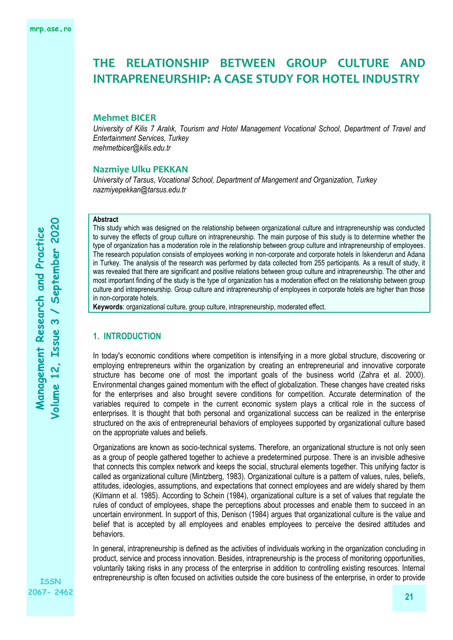#### **Mehmet BICER**

*University of Kilis 7 Aralık, Tourism and Hotel Management Vocational School, Department of Travel and Entertainment Services, Turkey [mehmetbicer@kilis.edu.tr](mailto:mehmetbicer@kilis.edu.tr)*

#### **Nazmiye Ulku PEKKAN**

*University of Tarsus, Vocational School, Department of Mangement and Organization, Turkey nazmiyepekkan@tarsus.edu.tr*

#### **Abstract**

This study which was designed on the relationship between organizational culture and intrapreneurship was conducted to survey the effects of group culture on intrapreneurship. The main purpose of this study is to determine whether the type of organization has a moderation role in the relationship between group culture and intrapreneurship of employees. The research population consists of employees working in non-corporate and corporate hotels in Iskenderun and Adana in Turkey. The analysis of the research was performed by data collected from 255 participants. As a result of study, it was revealed that there are significant and positive relations between group culture and intrapreneurship. The other and most important finding of the study is the type of organization has a moderation effect on the relationship between group culture and intrapreneurship. Group culture and intrapreneurship of employees in corporate hotels are higher than those in non-corporate hotels.

**Keywords**: organizational culture, group culture, intrapreneurship, moderated effect.

# **1. INTRODUCTION**

In today's economic conditions where competition is intensifying in a more global structure, discovering or employing entrepreneurs within the organization by creating an entrepreneurial and innovative corporate structure has become one of most the important goals of the business world (Zahra et al. 2000). Environmental changes gained momentum with the effect of globalization. These changes have created risks for the enterprises and also brought severe conditions for competition. Accurate determination of the variables required to compete in the current economic system plays a critical role in the success of enterprises. It is thought that both personal and organizational success can be realized in the enterprise structured on the axis of entrepreneurial behaviors of employees supported by organizational culture based on the appropriate values and beliefs.

Organizations are known as socio-technical systems. Therefore, an organizational structure is not only seen as a group of people gathered together to achieve a predetermined purpose. There is an invisible adhesive that connects this complex network and keeps the social, structural elements together. This unifying factor is called as organizational culture (Mintzberg, 1983). Organizational culture is a pattern of values, rules, beliefs, attitudes, ideologies, assumptions, and expectations that connect employees and are widely shared by them (Kilmann et al. 1985). According to Schein (1984), organizational culture is a set of values that regulate the rules of conduct of employees, shape the perceptions about processes and enable them to succeed in an uncertain environment. In support of this, Denison (1984) argues that organizational culture is the value and belief that is accepted by all employees and enables employees to perceive the desired attitudes and behaviors.

In general, intrapreneurship is defined as the activities of individuals working in the organization concluding in product, service and process innovation. Besides, intrapreneurship is the process of monitoring opportunities, voluntarily taking risks in any process of the enterprise in addition to controlling existing resources. Internal entrepreneurship is often focused on activities outside the core business of the enterprise, in order to provide

**ISSN 2067- 2462**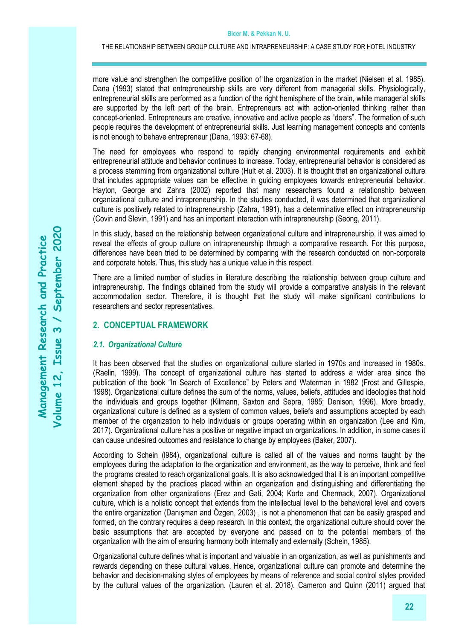more value and strengthen the competitive position of the organization in the market (Nielsen et al. 1985). Dana (1993) stated that entrepreneurship skills are very different from managerial skills. Physiologically, entrepreneurial skills are performed as a function of the right hemisphere of the brain, while managerial skills are supported by the left part of the brain. Entrepreneurs act with action-oriented thinking rather than concept-oriented. Entrepreneurs are creative, innovative and active people as "doers". The formation of such people requires the development of entrepreneurial skills. Just learning management concepts and contents is not enough to behave entrepreneur (Dana, 1993: 67-68).

The need for employees who respond to rapidly changing environmental requirements and exhibit entrepreneurial attitude and behavior continues to increase. Today, entrepreneurial behavior is considered as a process stemming from organizational culture (Hult et al. 2003). It is thought that an organizational culture that includes appropriate values can be effective in guiding employees towards entrepreneurial behavior. Hayton, George and Zahra (2002) reported that many researchers found a relationship between organizational culture and intrapreneurship. In the studies conducted, it was determined that organizational culture is positively related to intrapreneurship (Zahra, 1991), has a determinative effect on intrapreneurship (Covin and Slevin, 1991) and has an important interaction with intrapreneurship (Seong, 2011).

In this study, based on the relationship between organizational culture and intrapreneurship, it was aimed to reveal the effects of group culture on intrapreneurship through a comparative research. For this purpose, differences have been tried to be determined by comparing with the research conducted on non-corporate and corporate hotels. Thus, this study has a unique value in this respect.

There are a limited number of studies in literature describing the relationship between group culture and intrapreneurship. The findings obtained from the study will provide a comparative analysis in the relevant accommodation sector. Therefore, it is thought that the study will make significant contributions to researchers and sector representatives.

## **2. CONCEPTUAL FRAMEWORK**

## *2.1. Organizational Culture*

It has been observed that the studies on organizational culture started in 1970s and increased in 1980s. (Raelin, 1999). The concept of organizational culture has started to address a wider area since the publication of the book "In Search of Excellence" by Peters and Waterman in 1982 (Frost and Gillespie, 1998). Organizational culture defines the sum of the norms, values, beliefs, attitudes and ideologies that hold the individuals and groups together (Kilmann, Saxton and Sepra, 1985; Denison, 1996). More broadly, organizational culture is defined as a system of common values, beliefs and assumptions accepted by each member of the organization to help individuals or groups operating within an organization (Lee and Kim, 2017). Organizational culture has a positive or negative impact on organizations. In addition, in some cases it can cause undesired outcomes and resistance to change by employees (Baker, 2007).

According to Schein (l984), organizational culture is called all of the values and norms taught by the employees during the adaptation to the organization and environment, as the way to perceive, think and feel the programs created to reach organizational goals. It is also acknowledged that it is an important competitive element shaped by the practices placed within an organization and distinguishing and differentiating the organization from other organizations (Erez and Gati, 2004; Korte and Chermack, 2007). Organizational culture, which is a holistic concept that extends from the intellectual level to the behavioral level and covers the entire organization (Danışman and Özgen, 2003) , is not a phenomenon that can be easily grasped and formed, on the contrary requires a deep research. In this context, the organizational culture should cover the basic assumptions that are accepted by everyone and passed on to the potential members of the organization with the aim of ensuring harmony both internally and externally (Schein, 1985).

Organizational culture defines what is important and valuable in an organization, as well as punishments and rewards depending on these cultural values. Hence, organizational culture can promote and determine the behavior and decision-making styles of employees by means of reference and social control styles provided by the cultural values of the organization. (Lauren et al. 2018). Cameron and Quinn (2011) argued that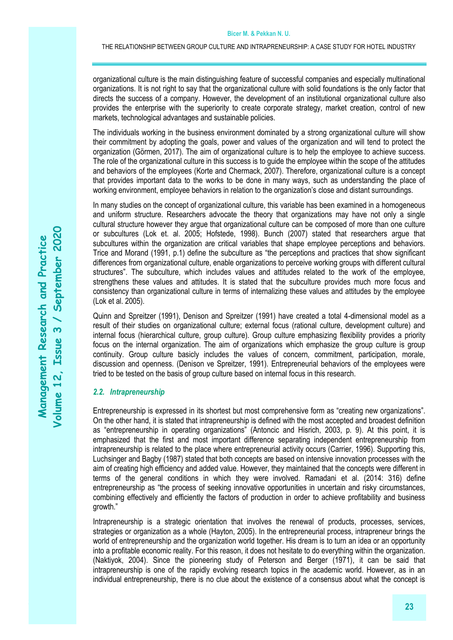organizational culture is the main distinguishing feature of successful companies and especially multinational organizations. It is not right to say that the organizational culture with solid foundations is the only factor that directs the success of a company. However, the development of an institutional organizational culture also provides the enterprise with the superiority to create corporate strategy, market creation, control of new markets, technological advantages and sustainable policies.

The individuals working in the business environment dominated by a strong organizational culture will show their commitment by adopting the goals, power and values of the organization and will tend to protect the organization (Görmen, 2017). The aim of organizational culture is to help the employee to achieve success. The role of the organizational culture in this success is to guide the employee within the scope of the attitudes and behaviors of the employees (Korte and Chermack, 2007). Therefore, organizational culture is a concept that provides important data to the works to be done in many ways, such as understanding the place of working environment, employee behaviors in relation to the organization's close and distant surroundings.

In many studies on the concept of organizational culture, this variable has been examined in a homogeneous and uniform structure. Researchers advocate the theory that organizations may have not only a single cultural structure however they argue that organizational culture can be composed of more than one culture or subcultures (Lok et. al. 2005; Hofstede, 1998). Bunch (2007) stated that researchers argue that subcultures within the organization are critical variables that shape employee perceptions and behaviors. Trice and Morand (1991, p.1) define the subculture as "the perceptions and practices that show significant differences from organizational culture, enable organizations to perceive working groups with different cultural structures". The subculture, which includes values and attitudes related to the work of the employee, strengthens these values and attitudes. It is stated that the subculture provides much more focus and consistency than organizational culture in terms of internalizing these values and attitudes by the employee (Lok et al. 2005).

Quinn and Spreitzer (1991), Denison and Spreitzer (1991) have created a total 4-dimensional model as a result of their studies on organizational culture; external focus (rational culture, development culture) and internal focus (hierarchical culture, group culture). Group culture emphasizing flexibility provides a priority focus on the internal organization. The aim of organizations which emphasize the group culture is group continuity. Group culture basicly includes the values of concern, commitment, participation, morale, discussion and openness. (Denison ve Spreitzer, 1991). Entrepreneurial behaviors of the employees were tried to be tested on the basis of group culture based on internal focus in this research.

#### *2.2. Intrapreneurship*

Entrepreneurship is expressed in its shortest but most comprehensive form as "creating new organizations". On the other hand, it is stated that intrapreneurship is defined with the most accepted and broadest definition as "entrepreneurship in operating organizations" (Antoncic and Hisrich, 2003, p. 9). At this point, it is emphasized that the first and most important difference separating independent entrepreneurship from intrapreneurship is related to the place where entrepreneurial activity occurs (Carrier, 1996). Supporting this, Luchsinger and Bagby (1987) stated that both concepts are based on intensive innovation processes with the aim of creating high efficiency and added value. However, they maintained that the concepts were different in terms of the general conditions in which they were involved. Ramadani et al. (2014: 316) define entrepreneurship as "the process of seeking innovative opportunities in uncertain and risky circumstances, combining effectively and efficiently the factors of production in order to achieve profitability and business growth."

Intrapreneurship is a strategic orientation that involves the renewal of products, processes, services, strategies or organization as a whole (Hayton, 2005). In the entrepreneurial process, intrapreneur brings the world of entrepreneurship and the organization world together. His dream is to turn an idea or an opportunity into a profitable economic reality. For this reason, it does not hesitate to do everything within the organization. (Naktiyok, 2004). Since the pioneering study of Peterson and Berger (1971), it can be said that intrapreneurship is one of the rapidly evolving research topics in the academic world. However, as in an individual entrepreneurship, there is no clue about the existence of a consensus about what the concept is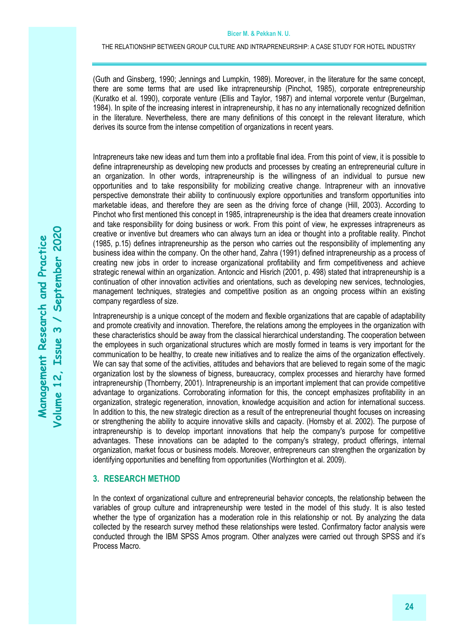(Guth and Ginsberg, 1990; Jennings and Lumpkin, 1989). Moreover, in the literature for the same concept, there are some terms that are used like intrapreneurship (Pinchot, 1985), corporate entrepreneurship (Kuratko et al. 1990), corporate venture (Ellis and Taylor, 1987) and internal vorporete ventur (Burgelman, 1984). In spite of the increasing interest in intrapreneurship, it has no any internationally recognized definition in the literature. Nevertheless, there are many definitions of this concept in the relevant literature, which derives its source from the intense competition of organizations in recent years.

Intrapreneurs take new ideas and turn them into a profitable final idea. From this point of view, it is possible to define intrapreneurship as developing new products and processes by creating an entrepreneurial culture in an organization. In other words, intrapreneurship is the willingness of an individual to pursue new opportunities and to take responsibility for mobilizing creative change. Intrapreneur with an innovative perspective demonstrate their ability to continuously explore opportunities and transform opportunities into marketable ideas, and therefore they are seen as the driving force of change (Hill, 2003). According to Pinchot who first mentioned this concept in 1985, intrapreneurship is the idea that dreamers create innovation and take responsibility for doing business or work. From this point of view, he expresses intrapreneurs as creative or inventive but dreamers who can always turn an idea or thought into a profitable reality. Pinchot (1985, p.15) defines intrapreneurship as the person who carries out the responsibility of implementing any business idea within the company. On the other hand, Zahra (1991) defined intrapreneurship as a process of creating new jobs in order to increase organizational profitability and firm competitiveness and achieve strategic renewal within an organization. Antoncic and Hisrich (2001, p. 498) stated that intrapreneurship is a continuation of other innovation activities and orientations, such as developing new services, technologies, management techniques, strategies and competitive position as an ongoing process within an existing company regardless of size.

Intrapreneurship is a unique concept of the modern and flexible organizations that are capable of adaptability and promote creativity and innovation. Therefore, the relations among the employees in the organization with these characteristics should be away from the classical hierarchical understanding. The cooperation between the employees in such organizational structures which are mostly formed in teams is very important for the communication to be healthy, to create new initiatives and to realize the aims of the organization effectively. We can say that some of the activities, attitudes and behaviors that are believed to regain some of the magic organization lost by the slowness of bigness, bureaucracy, complex processes and hierarchy have formed intrapreneurship (Thornberry, 2001). Intrapreneurship is an important implement that can provide competitive advantage to organizations. Corroborating information for this, the concept emphasizes profitability in an organization, strategic regeneration, innovation, knowledge acquisition and action for international success. In addition to this, the new strategic direction as a result of the entrepreneurial thought focuses on increasing or strengthening the ability to acquire innovative skills and capacity. (Hornsby et al. 2002). The purpose of intrapreneurship is to develop important innovations that help the company's purpose for competitive advantages. These innovations can be adapted to the company's strategy, product offerings, internal organization, market focus or business models. Moreover, entrepreneurs can strengthen the organization by identifying opportunities and benefiting from opportunities (Worthington et al. 2009).

# **3. RESEARCH METHOD**

In the context of organizational culture and entrepreneurial behavior concepts, the relationship between the variables of group culture and intrapreneurship were tested in the model of this study. It is also tested whether the type of organization has a moderation role in this relationship or not. By analyzing the data collected by the research survey method these relationships were tested. Confirmatory factor analysis were conducted through the IBM SPSS Amos program. Other analyzes were carried out through SPSS and it's Process Macro.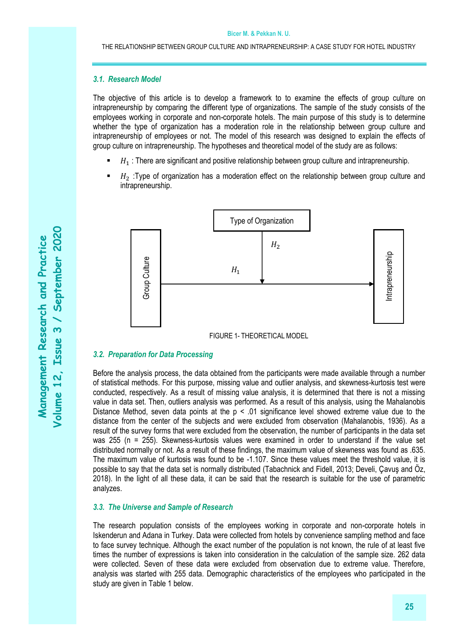# *3.1. Research Model*

The objective of this article is to develop a framework to to examine the effects of group culture on intrapreneurship by comparing the different type of organizations. The sample of the study consists of the employees working in corporate and non-corporate hotels. The main purpose of this study is to determine whether the type of organization has a moderation role in the relationship between group culture and intrapreneurship of employees or not. The model of this research was designed to explain the effects of group culture on intrapreneurship. The hypotheses and theoretical model of the study are as follows:

- $H_1$ : There are significant and positive relationship between group culture and intrapreneurship.
- $H<sub>2</sub>$ :Type of organization has a moderation effect on the relationship between group culture and intrapreneurship.



FIGURE 1- THEORETICAL MODEL

## *3.2. Preparation for Data Processing*

Before the analysis process, the data obtained from the participants were made available through a number of statistical methods. For this purpose, missing value and outlier analysis, and skewness-kurtosis test were conducted, respectively. As a result of missing value analysis, it is determined that there is not a missing value in data set. Then, outliers analysis was performed. As a result of this analysis, using the Mahalanobis Distance Method, seven data points at the  $p \le 0.01$  significance level showed extreme value due to the distance from the center of the subjects and were excluded from observation (Mahalanobis, 1936). As a result of the survey forms that were excluded from the observation, the number of participants in the data set was 255 (n = 255). Skewness-kurtosis values were examined in order to understand if the value set distributed normally or not. As a result of these findings, the maximum value of skewness was found as .635. The maximum value of kurtosis was found to be -1.107. Since these values meet the threshold value, it is possible to say that the data set is normally distributed (Tabachnick and Fidell, 2013; Develi, Çavuş and Öz, 2018). In the light of all these data, it can be said that the research is suitable for the use of parametric analyzes. **Example 12**<br> **Example 1**<br> **Example 1**<br> **Example 1**<br> **Example 1**<br> **Example 1**<br> **Example 1**<br> **Example 1**<br> **Example 1**<br> **Example 1**<br> **Example 1**<br> **Example 1**<br> **Example 1**<br> **Example 1**<br> **Example 1**<br> **Example 1**<br> **Example 1**<br>

## *3.3. The Universe and Sample of Research*

The research population consists of the employees working in corporate and non-corporate hotels in Iskenderun and Adana in Turkey. Data were collected from hotels by convenience sampling method and face to face survey technique. Although the exact number of the population is not known, the rule of at least five times the number of expressions is taken into consideration in the calculation of the sample size. 262 data were collected. Seven of these data were excluded from observation due to extreme value. Therefore, analysis was started with 255 data. Demographic characteristics of the employees who participated in the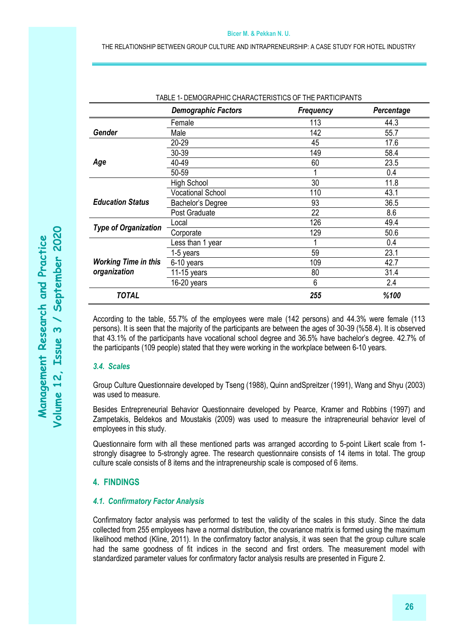#### **Bicer M. & Pekkan N. U.**

THE RELATIONSHIP BETWEEN GROUP CULTURE AND INTRAPRENEURSHIP: A CASE STUDY FOR HOTEL INDUSTRY

|                                             | <b>Demographic Factors</b> | <b>Frequency</b> | Percentage |
|---------------------------------------------|----------------------------|------------------|------------|
|                                             | Female                     | 113              | 44.3       |
| Gender                                      | Male                       | 142              | 55.7       |
|                                             | 20-29                      | 45               | 17.6       |
|                                             | 30-39                      | 149              | 58.4       |
| Age                                         | 40-49                      | 60               | 23.5       |
|                                             | 50-59                      |                  | 0.4        |
|                                             | <b>High School</b>         | 30               | 11.8       |
|                                             | <b>Vocational School</b>   | 110              | 43.1       |
| <b>Education Status</b>                     | Bachelor's Degree          | 93               | 36.5       |
|                                             | Post Graduate              | 22               | 8.6        |
| <b>Type of Organization</b>                 | Local                      | 126              | 49.4       |
|                                             | Corporate                  | 129              | 50.6       |
|                                             | Less than 1 year           |                  | 0.4        |
|                                             | 1-5 years                  | 59               | 23.1       |
| <b>Working Time in this</b><br>organization | 6-10 years                 | 109              | 42.7       |
|                                             | 11-15 years                | 80               | 31.4       |
|                                             | 16-20 years                | 6                | 2.4        |
| <b>TOTAL</b>                                |                            | 255              | %100       |

TABLE 1- DEMOGRAPHIC CHARACTERISTICS OF THE PARTICIPANTS

According to the table, 55.7% of the employees were male (142 persons) and 44.3% were female (113 persons). It is seen that the majority of the participants are between the ages of 30-39 (%58.4). It is observed that 43.1% of the participants have vocational school degree and 36.5% have bachelor's degree. 42.7% of the participants (109 people) stated that they were working in the workplace between 6-10 years.

## *3.4. Scales*

Group Culture Questionnaire developed by Tseng (1988), Quinn andSpreitzer (1991), Wang and Shyu (2003) was used to measure.

Besides Entrepreneurial Behavior Questionnaire developed by Pearce, Kramer and Robbins (1997) and Zampetakis, Beldekos and Moustakis (2009) was used to measure the intrapreneurial behavior level of employees in this study.

Questionnaire form with all these mentioned parts was arranged according to 5-point Likert scale from 1 strongly disagree to 5-strongly agree. The research questionnaire consists of 14 items in total. The group culture scale consists of 8 items and the intrapreneurship scale is composed of 6 items.

# **4. FINDINGS**

#### *4.1. Confirmatory Factor Analysis*

Confirmatory factor analysis was performed to test the validity of the scales in this study. Since the data collected from 255 employees have a normal distribution, the covariance matrix is formed using the maximum likelihood method (Kline, 2011). In the confirmatory factor analysis, it was seen that the group culture scale had the same goodness of fit indices in the second and first orders. The measurement model with standardized parameter values for confirmatory factor analysis results are presented in Figure 2.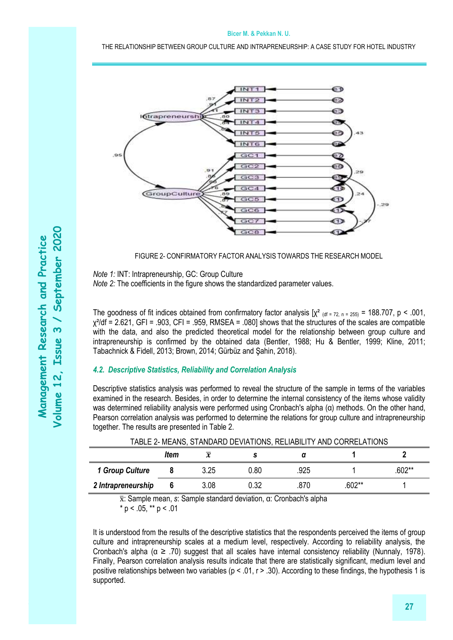#### **Bicer M. & Pekkan N. U.**

THE RELATIONSHIP BETWEEN GROUP CULTURE AND INTRAPRENEURSHIP: A CASE STUDY FOR HOTEL INDUSTRY



FIGURE 2- CONFIRMATORY FACTOR ANALYSIS TOWARDS THE RESEARCH MODEL

*Note 1:* INT: Intrapreneurship, GC: Group Culture

*Note 2:* The coefficients in the figure shows the standardized parameter values.

The goodness of fit indices obtained from confirmatory factor analysis  $[\chi^2]_{\text{dd} = 72, n = 255}$  = 188.707, p < .001,  $\chi^2$ /df = 2.621, GFI = .903, CFI = .959, RMSEA = .080] shows that the structures of the scales are compatible with the data, and also the predicted theoretical model for the relationship between group culture and intrapreneurship is confirmed by the obtained data (Bentler, 1988; Hu & Bentler, 1999; Kline, 2011; Tabachnick & Fidell, 2013; Brown, 2014; Gürbüz and Şahin, 2018).

# *4.2. Descriptive Statistics, Reliability and Correlation Analysis*

Descriptive statistics analysis was performed to reveal the structure of the sample in terms of the variables examined in the research. Besides, in order to determine the internal consistency of the items whose validity was determined reliability analysis were performed using Cronbach's alpha (α) methods. On the other hand, Pearson correlation analysis was performed to determine the relations for group culture and intrapreneurship together. The results are presented in Table 2.

|                    | ltem | $\boldsymbol{\chi}$ |      |      |          |        |
|--------------------|------|---------------------|------|------|----------|--------|
| 1 Group Culture    |      | 3.25                | 0.80 | .925 |          | .602** |
| 2 Intrapreneurship |      | 3.08                | 0.32 | 870  | $.602**$ |        |

TABLE 2- MEANS, STANDARD DEVIATIONS, RELIABILITY AND CORRELATIONS

x̅: Sample mean, *s*: Sample standard deviation, α: Cronbach's alpha  $*$  p < .05,  $*$  $*$  p < .01

It is understood from the results of the descriptive statistics that the respondents perceived the items of group culture and intrapreneurship scales at a medium level, respectively. According to reliability analysis, the Cronbach's alpha ( $\alpha \geq 0.70$ ) suggest that all scales have internal consistency reliability (Nunnaly, 1978). Finally, Pearson correlation analysis results indicate that there are statistically significant, medium level and positive relationships between two variables ( $p < 0.01$ ,  $r > 0.30$ ). According to these findings, the hypothesis 1 is supported.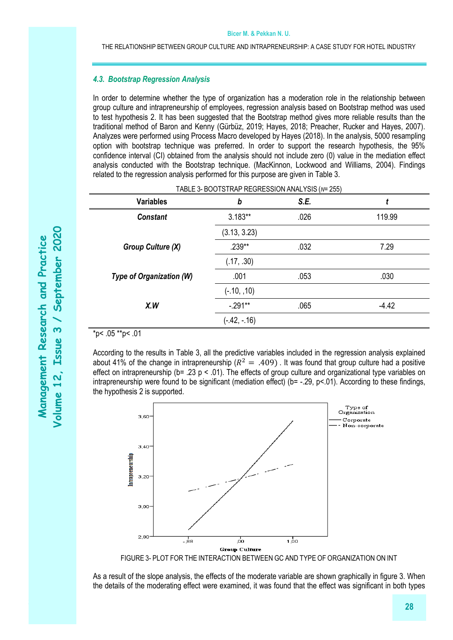## *4.3. Bootstrap Regression Analysis*

In order to determine whether the type of organization has a moderation role in the relationship between group culture and intrapreneurship of employees, regression analysis based on Bootstrap method was used to test hypothesis 2. It has been suggested that the Bootstrap method gives more reliable results than the traditional method of Baron and Kenny (Gürbüz, 2019; Hayes, 2018; Preacher, Rucker and Hayes, 2007). Analyzes were performed using Process Macro developed by Hayes (2018). In the analysis, 5000 resampling option with bootstrap technique was preferred. In order to support the research hypothesis, the 95% confidence interval (CI) obtained from the analysis should not include zero (0) value in the mediation effect analysis conducted with the Bootstrap technique. (MacKinnon, Lockwood and Williams, 2004). Findings related to the regression analysis performed for this purpose are given in Table 3.

| TABLE 3- BOOTSTRAP REGRESSION ANALYSIS (N= 255) |                |      |         |  |  |  |  |
|-------------------------------------------------|----------------|------|---------|--|--|--|--|
| <b>Variables</b>                                | b              | S.E. |         |  |  |  |  |
| <b>Constant</b>                                 | $3.183**$      | .026 | 119.99  |  |  |  |  |
|                                                 | (3.13, 3.23)   |      |         |  |  |  |  |
| Group Culture (X)                               | $.239**$       | .032 | 7.29    |  |  |  |  |
|                                                 | (.17, .30)     |      |         |  |  |  |  |
| Type of Organization (W)                        | .001           | .053 | .030    |  |  |  |  |
|                                                 | $(-.10, .10)$  |      |         |  |  |  |  |
| X.W                                             | $-.291**$      | .065 | $-4.42$ |  |  |  |  |
|                                                 | $(-.42, -.16)$ |      |         |  |  |  |  |

# $*_{p<.05}$  \*\*p< .01

According to the results in Table 3, all the predictive variables included in the regression analysis explained about 41% of the change in intrapreneurship ( $R^2 = .409$ ). It was found that group culture had a positive effect on intrapreneurship (b= .23 p < .01). The effects of group culture and organizational type variables on intrapreneurship were found to be significant (mediation effect) ( $b = -.29$ ,  $p < 01$ ). According to these findings, the hypothesis 2 is supported.



As a result of the slope analysis, the effects of the moderate variable are shown graphically in figure 3. When the details of the moderating effect were examined, it was found that the effect was significant in both types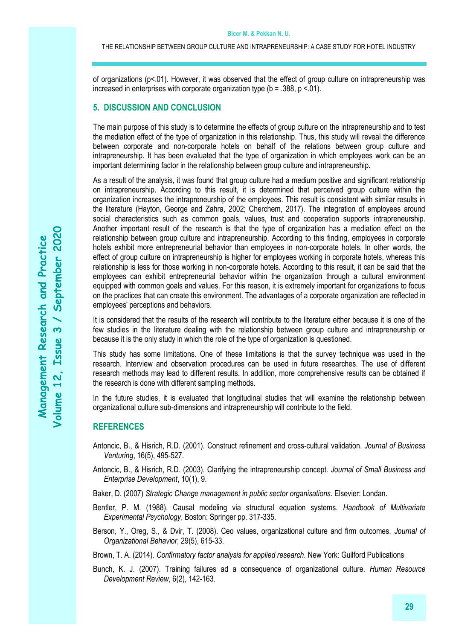of organizations (p<.01). However, it was observed that the effect of group culture on intrapreneurship was increased in enterprises with corporate organization type ( $b = .388$ ,  $p < .01$ ).

# **5. DISCUSSION AND CONCLUSION**

The main purpose of this study is to determine the effects of group culture on the intrapreneurship and to test the mediation effect of the type of organization in this relationship. Thus, this study will reveal the difference between corporate and non-corporate hotels on behalf of the relations between group culture and intrapreneurship. It has been evaluated that the type of organization in which employees work can be an important determining factor in the relationship between group culture and intrapreneurship.

As a result of the analysis, it was found that group culture had a medium positive and significant relationship on intrapreneurship. According to this result, it is determined that perceived group culture within the organization increases the intrapreneurship of the employees. This result is consistent with similar results in the literature (Hayton, George and Zahra, 2002; Cherchem, 2017). The integration of employees around social characteristics such as common goals, values, trust and cooperation supports intrapreneurship. Another important result of the research is that the type of organization has a mediation effect on the relationship between group culture and intrapreneurship. According to this finding, employees in corporate hotels exhibit more entrepreneurial behavior than employees in non-corporate hotels. In other words, the effect of group culture on intrapreneurship is higher for employees working in corporate hotels, whereas this relationship is less for those working in non-corporate hotels. According to this result, it can be said that the employees can exhibit entrepreneurial behavior within the organization through a cultural environment equipped with common goals and values. For this reason, it is extremely important for organizations to focus on the practices that can create this environment. The advantages of a corporate organization are reflected in employees' perceptions and behaviors.

It is considered that the results of the research will contribute to the literature either because it is one of the few studies in the literature dealing with the relationship between group culture and intrapreneurship or because it is the only study in which the role of the type of organization is questioned.

This study has some limitations. One of these limitations is that the survey technique was used in the research. Interview and observation procedures can be used in future researches. The use of different research methods may lead to different results. In addition, more comprehensive results can be obtained if the research is done with different sampling methods.

In the future studies, it is evaluated that longitudinal studies that will examine the relationship between organizational culture sub-dimensions and intrapreneurship will contribute to the field.

#### **REFERENCES**

- Antoncic, B., & Hisrich, R.D. (2001). Construct refinement and cross-cultural validation. *Journal of Business Venturing*, 16(5), 495-527.
- Antoncic, B., & Hisrich, R.D. (2003). Clarifying the intrapreneurship concept. *Journal of Small Business and Enterprise Development*, 10(1), 9.

Baker, D. (2007) *Strategic Change management in public sector organisations*. Elsevier: Londan.

- Bentler, P. M. (1988). Causal modeling via structural equation systems. *Handbook of Multivariate Experimental Psychology*, Boston: Springer pp. 317-335.
- Berson, Y., Oreg, S., & Dvir, T. (2008). Ceo values, organizational culture and firm outcomes. *Journal of Organizational Behavior*, 29(5), 615-33.

Brown, T. A. (2014). *Confirmatory factor analysis for applied research.* New York: Guilford Publications

Bunch, K. J. (2007). Training failures ad a consequence of organizational culture. *Human Resource Development Review*, 6(2), 142-163.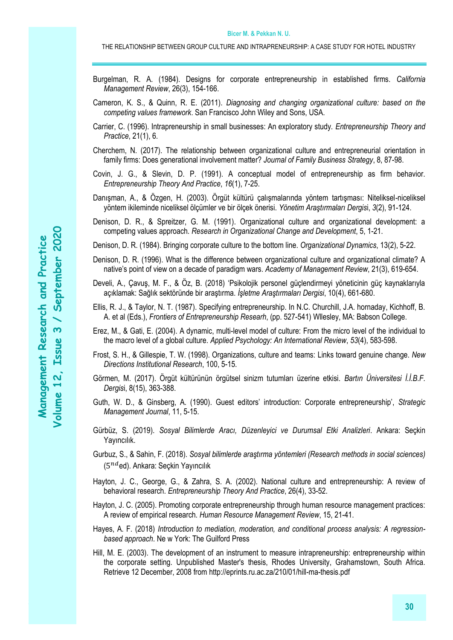- Burgelman, R. A. (1984). Designs for corporate entrepreneurship in established firms. *California Management Review*, 26(3), 154-166.
- Cameron, K. S., & Quinn, R. E. (2011). *Diagnosing and changing organizational culture: based on the competing values framework*. San Francisco John Wiley and Sons, USA.
- Carrier, C. (1996). Intrapreneurship in small businesses: An exploratory study. *Entrepreneurship Theory and Practice*, 21(1), 6.
- Cherchem, N. (2017). The relationship between organizational culture and entrepreneurial orientation in family firms: Does generational involvement matter? *Journal of Family Business Strategy*, 8, 87-98.
- Covin, J. G., & Slevin, D. P. (1991). A conceptual model of entrepreneurship as firm behavior. *Entrepreneurship Theory And Practice*, *16*(1), 7-25.
- Danışman, A., & Özgen, H. (2003). Örgüt kültürü çalışmalarında yöntem tartışması: Niteliksel-niceliksel yöntem ikileminde niceliksel ölçümler ve bir ölçek önerisi. *Yönetim Araştırmaları Dergis*i, *3*(2), 91-124.
- Denison, D. R., & Spreitzer, G. M. (1991). Organizational culture and organizational development: a competing values approach. *Research in Organizational Change and Development*, 5, 1-21.
- Denison, D. R. (1984). Bringing corporate culture to the bottom line. *Organizational Dynamics*, 13(2), 5-22.
- Denison, D. R. (1996). What is the difference between organizational culture and organizational climate? A native's point of view on a decade of paradigm wars. *Academy of Management Review*, 21(3), 619-654.
- Develi, A., Çavuş, M. F., & Öz, B. (2018) 'Psikolojik personel güçlendirmeyi yöneticinin güç kaynaklarıyla açıklamak: Sağlık sektöründe bir araştırma. *İşletme Araştırmaları Dergisi*, 10(4), 661-680.
- Ellis, R. J., & Taylor, N. T. (1987). Specifying entrepreneurship. In N.C. Churchill, J.A. hornaday, Kichhoff, B. A. et al (Eds.), *Frontiers of Entrepreneurship Researh*, (pp. 527-541) Wllesley, MA: Babson College.
- Erez, M., & Gati, E. (2004). A dynamic, multi-level model of culture: From the micro level of the individual to the macro level of a global culture. *Applied Psychology: An International Review*, *53*(4), 583-598.
- Frost, S. H., & Gillespie, T. W. (1998). Organizations, culture and teams: Links toward genuine change. *New Directions Institutional Research*, 100, 5-15.
- Görmen, M. (2017). Örgüt kültürünün örgütsel sinizm tutumları üzerine etkisi. *Bartın Üniversitesi İ.İ.B.F. Dergis*i, 8(15), 363-388.
- Guth, W. D., & Ginsberg, A. (1990). Guest editors' introduction: Corporate entrepreneurship', *Strategic Management Journal*, 11, 5-15.
- Gürbüz, S. (2019). *Sosyal Bilimlerde Aracı, Düzenleyici ve Durumsal Etki Analizleri*. Ankara: Seçkin Yayıncılık.
- Gurbuz, S., & Sahin, F. (2018). *Sosyal bilimlerde araştırma yöntemleri (Research methods in social sciences)* (5<sup>nd</sup>ed). Ankara: Seçkin Yayıncılık
- Hayton, J. C., George, G., & Zahra, S. A. (2002). National culture and entrepreneurship: A review of behavioral research. *Entrepreneurship Theory And Practice*, 26(4), 33-52.
- Hayton, J. C. (2005). Promoting corporate entrepreneurship through human resource management practices: A review of empirical research. *Human Resource Management Review*, 15, 21-41.
- Hayes, A. F. (2018) *Introduction to mediation, moderation, and conditional process analysis: A regressionbased approach*. Ne w York: The Guilford Press
- Hill, M. E. (2003). The development of an instrument to measure intrapreneurship: entrepreneurship within the corporate setting. Unpublished Master's thesis, Rhodes University, Grahamstown, South Africa. Retrieve 12 December, 2008 from<http://eprints.ru.ac.za/210/01/hill-ma-thesis.pdf>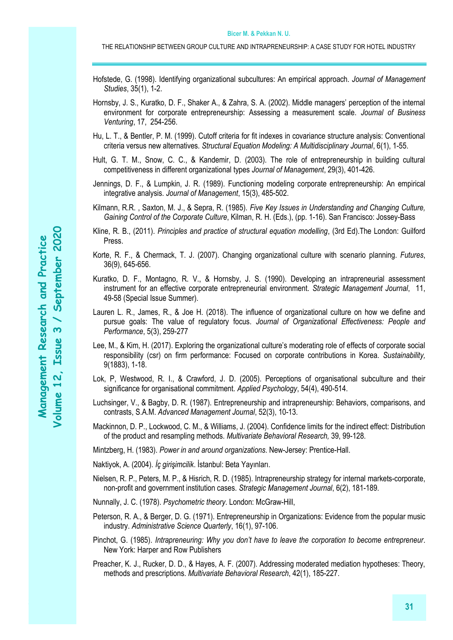- Hofstede, G. (1998). Identifying organizational subcultures: An empirical approach. *Journal of Management Studies*, 35(1), 1-2.
- Hornsby, J. S., Kuratko, D. F., Shaker A., & Zahra, S. A. (2002). Middle managers' perception of the internal environment for corporate entrepreneurship: Assessing a measurement scale. *Journal of Business Venturing*, 17, 254-256.
- Hu, L. T., & Bentler, P. M. (1999). Cutoff criteria for fit indexes in covariance structure analysis: Conventional criteria versus new alternatives. *Structural Equation Modeling: A Multidisciplinary Journal*, 6(1), 1-55.
- Hult, G. T. M., Snow, C. C., & Kandemir, D. (2003). The role of entrepreneurship in building cultural competitiveness in different organizational types *Journal of Management*, 29(3), 401-426.
- Jennings, D. F., & Lumpkin, J. R. (1989). Functioning modeling corporate entrepreneurship: An empirical integrative analysis. *Journal of Management*, 15(3), 485-502.
- Kilmann, R.R. , Saxton, M. J., & Sepra, R. (1985). *Five Key Issues in Understanding and Changing Culture, Gaining Control of the Corporate Culture*, Kilman, R. H. (Eds.), (pp. 1-16). San Francisco: Jossey-Bass
- Kline, R. B., (2011). *Principles and practice of structural equation modelling*, (3rd Ed).The London: Guilford Press.
- Korte, R. F., & Chermack, T. J. (2007). Changing organizational culture with scenario planning. *Futures*, 36(9), 645-656.
- Kuratko, D. F., Montagno, R. V., & Hornsby, J. S. (1990). Developing an intrapreneurial assessment instrument for an effective corporate entrepreneurial environment. *Strategic Management Journal*, 11, 49-58 (Special Issue Summer).
- Lauren L. R., James, R., & Joe H. (2018). The influence of organizational culture on how we define and pursue goals: The value of regulatory focus. *Journal of Organizational Effectiveness: People and Performance*, 5(3), 259-277
- Lee, M., & Kim, H. (2017). Exploring the organizational culture's moderating role of effects of corporate social responsibility (csr) on firm performance: Focused on corporate contributions in Korea. *Sustainability,* 9(1883), 1-18.
- Lok, P, Westwood, R. I., & Crawford, J. D. (2005). Perceptions of organisational subculture and their significance for organisational commitment. *Applied Psychology*, 54(4), 490-514.
- Luchsinger, V., & Bagby, D. R. (1987). Entrepreneurship and intrapreneurship: Behaviors, comparisons, and contrasts, S.A.M. *Advanced Management Journal*, 52(3), 10-13.
- Mackinnon, D. P., Lockwood, C. M., & Williams, J. (2004). Confidence limits for the indirect effect: Distribution of the product and resampling methods. *Multivariate Behavioral Research,* 39, 99-128.

Mintzberg, H. (1983). *Power in and around organizations*. New-Jersey: Prentice-Hall.

- Naktiyok, A. (2004). *İç girişimcilik*. İstanbul: Beta Yayınları.
- Nielsen, R. P., Peters, M. P., & Hisrich, R. D. (1985). Intrapreneurship strategy for internal markets-corporate, non-profit and government institution cases. *Strategic Management Journal*, 6(2), 181-189.
- Nunnally, J. C. (1978). *Psychometric theory*. London: McGraw-Hill,
- Peterson, R. A., & Berger, D. G. (1971). Entrepreneurship in Organizations: Evidence from the popular music industry. *Administrative Science Quarterly*, 16(1), 97-106.
- Pinchot, G. (1985). *Intrapreneuring: Why you don't have to leave the corporation to become entrepreneur*. New York: Harper and Row Publishers
- Preacher, K. J., Rucker, D. D., & Hayes, A. F. (2007). Addressing moderated mediation hypotheses: Theory, methods and prescriptions. *Multivariate Behavioral Research*, 42(1), 185-227.